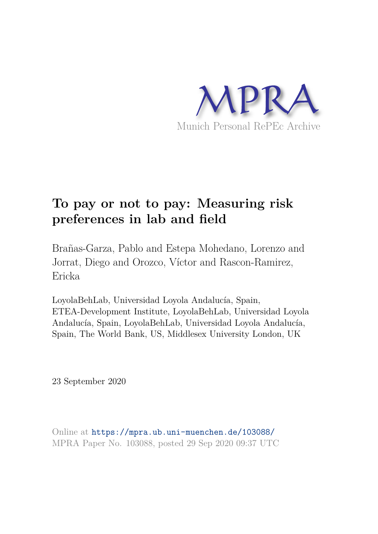

# **To pay or not to pay: Measuring risk preferences in lab and field**

Brañas-Garza, Pablo and Estepa Mohedano, Lorenzo and Jorrat, Diego and Orozco, Víctor and Rascon-Ramirez, Ericka

LoyolaBehLab, Universidad Loyola Andalucía, Spain, ETEA-Development Institute, LoyolaBehLab, Universidad Loyola Andalucía, Spain, LoyolaBehLab, Universidad Loyola Andalucía, Spain, The World Bank, US, Middlesex University London, UK

23 September 2020

Online at https://mpra.ub.uni-muenchen.de/103088/ MPRA Paper No. 103088, posted 29 Sep 2020 09:37 UTC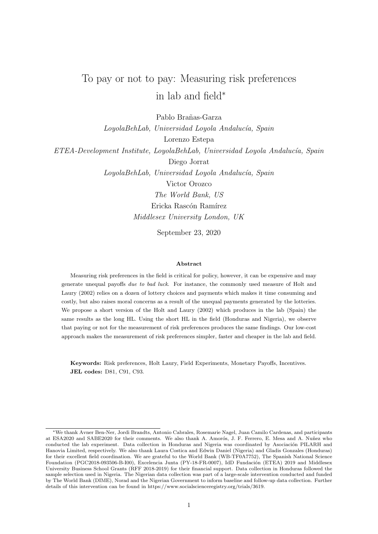# To pay or not to pay: Measuring risk preferences in lab and field<sup>∗</sup>

Pablo Brañas-Garza

LoyolaBehLab, Universidad Loyola Andalucía, Spain Lorenzo Estepa ETEA-Development Institute, LoyolaBehLab, Universidad Loyola Andaluc´ıa, Spain

> Diego Jorrat LoyolaBehLab, Universidad Loyola Andalucía, Spain Victor Orozco The World Bank, US Ericka Rascón Ramírez Middlesex University London, UK

> > September 23, 2020

#### Abstract

Measuring risk preferences in the field is critical for policy, however, it can be expensive and may generate unequal payoffs due to bad luck. For instance, the commonly used measure of Holt and Laury (2002) relies on a dozen of lottery choices and payments which makes it time consuming and costly, but also raises moral concerns as a result of the unequal payments generated by the lotteries. We propose a short version of the Holt and Laury (2002) which produces in the lab (Spain) the same results as the long HL. Using the short HL in the field (Honduras and Nigeria), we observe that paying or not for the measurement of risk preferences produces the same findings. Our low-cost approach makes the measurement of risk preferences simpler, faster and cheaper in the lab and field.

Keywords: Risk preferences, Holt Laury, Field Experiments, Monetary Payoffs, Incentives. JEL codes: D81, C91, C93.

<sup>∗</sup>We thank Avner Ben-Ner, Jordi Brandts, Antonio Cabrales, Rosemarie Nagel, Juan Camilo Cardenas, and participants at ESA2020 and SABE2020 for their comments. We also thank A. Amorós, J. F. Ferrero, E. Mesa and A. Nuñez who conducted the lab experiment. Data collection in Honduras and Nigeria was coordinated by Asociación PILARH and Hanovia Limited, respectively. We also thank Laura Costica and Edwin Daniel (Nigeria) and Gladis Gonzales (Honduras) for their excellent field coordination. We are grateful to the World Bank (WB-TF0A7752), The Spanish National Science Foundation (PGC2018-093506-B-I00), Excelencia Junta (PY-18-FR-0007), IdD Fundación (ETEA) 2019 and Middlesex University Business School Grants (RFF 2018-2019) for their financial support. Data collection in Honduras followed the sample selection used in Nigeria. The Nigerian data collection was part of a large-scale intervention conducted and funded by The World Bank (DIME), Norad and the Nigerian Government to inform baseline and follow-up data collection. Further details of this intervention can be found in https://www.socialscienceregistry.org/trials/3619.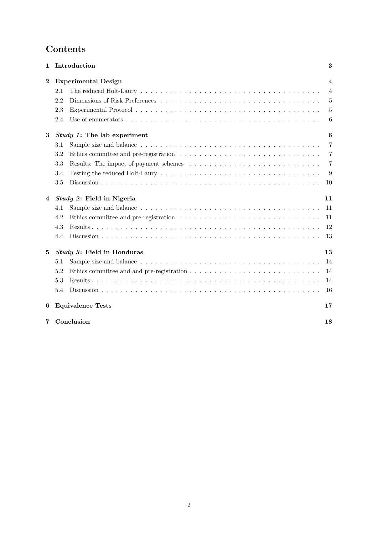## Contents

| 1        | Introduction                       |  | 3                       |
|----------|------------------------------------|--|-------------------------|
| $\bf{2}$ | <b>Experimental Design</b>         |  | $\overline{\mathbf{4}}$ |
|          | 2.1                                |  | $\overline{4}$          |
|          | 2.2                                |  | 5                       |
|          | 2.3                                |  | 5                       |
|          | 2.4                                |  | 6                       |
| 3        | <i>Study 1:</i> The lab experiment |  | 6                       |
|          | 3.1                                |  | 7                       |
|          | 3.2                                |  | $\overline{7}$          |
|          | 3.3                                |  | $\overline{7}$          |
|          | 3.4                                |  | 9                       |
|          | 3.5                                |  | 10                      |
| 4        | <i>Study 2:</i> Field in Nigeria   |  | 11                      |
|          | 4.1                                |  | 11                      |
|          | 4.2                                |  | 11                      |
|          | 4.3                                |  | 12                      |
|          | 4.4                                |  | 13                      |
| 5        | Study 3: Field in Honduras         |  | 13                      |
|          | 5.1                                |  | 14                      |
|          | 5.2                                |  | 14                      |
|          | 5.3                                |  | 14                      |
|          | 5.4                                |  | 16                      |
| 6        | <b>Equivalence Tests</b>           |  | 17                      |
| 7        | Conclusion                         |  | 18                      |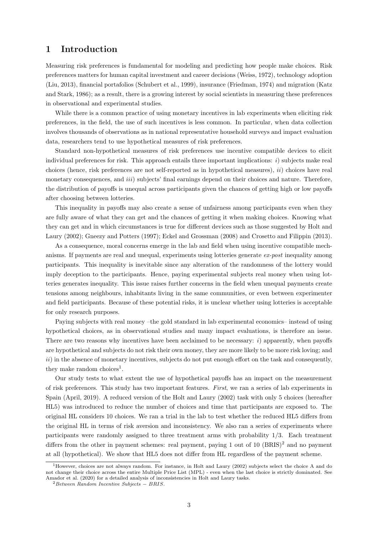## 1 Introduction

Measuring risk preferences is fundamental for modeling and predicting how people make choices. Risk preferences matters for human capital investment and career decisions (Weiss, 1972), technology adoption (Liu, 2013), financial portafolios (Schubert et al., 1999), insurance (Friedman, 1974) and migration (Katz and Stark, 1986); as a result, there is a growing interest by social scientists in measuring these preferences in observational and experimental studies.

While there is a common practice of using monetary incentives in lab experiments when eliciting risk preferences, in the field, the use of such incentives is less common. In particular, when data collection involves thousands of observations as in national representative household surveys and impact evaluation data, researchers tend to use hypothetical measures of risk preferences.

Standard non-hypothetical measures of risk preferences use incentive compatible devices to elicit individual preferences for risk. This approach entails three important implications: i) subjects make real choices (hence, risk preferences are not self-reported as in hypothetical measures), ii) choices have real monetary consequences, and *iii*) subjects' final earnings depend on their choices and nature. Therefore, the distribution of payoffs is unequal across participants given the chances of getting high or low payoffs after choosing between lotteries.

This inequality in payoffs may also create a sense of unfairness among participants even when they are fully aware of what they can get and the chances of getting it when making choices. Knowing what they can get and in which circumstances is true for different devices such as those suggested by Holt and Laury (2002); Gneezy and Potters (1997); Eckel and Grossman (2008) and Crosetto and Filippin (2013).

As a consequence, moral concerns emerge in the lab and field when using incentive compatible mechanisms. If payments are real and unequal, experiments using lotteries generate ex-post inequality among participants. This inequality is inevitable since any alteration of the randomness of the lottery would imply deception to the participants. Hence, paying experimental subjects real money when using lotteries generates inequality. This issue raises further concerns in the field when unequal payments create tensions among neighbours, inhabitants living in the same communities, or even between experimenter and field participants. Because of these potential risks, it is unclear whether using lotteries is acceptable for only research purposes.

Paying subjects with real money –the gold standard in lab experimental economics– instead of using hypothetical choices, as in observational studies and many impact evaluations, is therefore an issue. There are two reasons why incentives have been acclaimed to be necessary:  $i$ ) apparently, when payoffs are hypothetical and subjects do not risk their own money, they are more likely to be more risk loving; and  $ii)$  in the absence of monetary incentives, subjects do not put enough effort on the task and consequently, they make random choices<sup>1</sup>.

Our study tests to what extent the use of hypothetical payoffs has an impact on the measurement of risk preferences. This study has two important features. First, we ran a series of lab experiments in Spain (April, 2019). A reduced version of the Holt and Laury (2002) task with only 5 choices (hereafter HL5) was introduced to reduce the number of choices and time that participants are exposed to. The original HL considers 10 choices. We ran a trial in the lab to test whether the reduced HL5 differs from the original HL in terms of risk aversion and inconsistency. We also ran a series of experiments where participants were randomly assigned to three treatment arms with probability 1/3. Each treatment differs from the other in payment schemes: real payment, paying 1 out of 10 (BRIS)<sup>2</sup> and no payment at all (hypothetical). We show that HL5 does not differ from HL regardless of the payment scheme.

<sup>&</sup>lt;sup>1</sup>However, choices are not always random. For instance, in Holt and Laury (2002) subjects select the choice A and do not change their choice across the entire Multiple Price List (MPL) - even when the last choice is strictly dominated. See Amador et al. (2020) for a detailed analysis of inconsistencies in Holt and Laury tasks.

 $2$ Between Random Incentive Subjects – BRIS.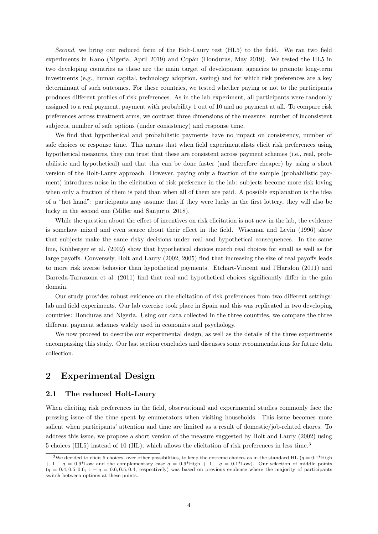Second, we bring our reduced form of the Holt-Laury test (HL5) to the field. We ran two field experiments in Kano (Nigeria, April 2019) and Copán (Honduras, May 2019). We tested the HL5 in two developing countries as these are the main target of development agencies to promote long-term investments (e.g., human capital, technology adoption, saving) and for which risk preferences are a key determinant of such outcomes. For these countries, we tested whether paying or not to the participants produces different profiles of risk preferences. As in the lab experiment, all participants were randomly assigned to a real payment, payment with probability 1 out of 10 and no payment at all. To compare risk preferences across treatment arms, we contrast three dimensions of the measure: number of inconsistent subjects, number of safe options (under consistency) and response time.

We find that hypothetical and probabilistic payments have no impact on consistency, number of safe choices or response time. This means that when field experimentalists elicit risk preferences using hypothetical measures, they can trust that these are consistent across payment schemes (i.e., real, probabilistic and hypothetical) and that this can be done faster (and therefore cheaper) by using a short version of the Holt-Laury approach. However, paying only a fraction of the sample (probabilistic payment) introduces noise in the elicitation of risk preference in the lab: subjects become more risk loving when only a fraction of them is paid than when all of them are paid. A possible explanation is the idea of a "hot hand": participants may assume that if they were lucky in the first lottery, they will also be lucky in the second one (Miller and Sanjurjo, 2018).

While the question about the effect of incentives on risk elicitation is not new in the lab, the evidence is somehow mixed and even scarce about their effect in the field. Wiseman and Levin (1996) show that subjects make the same risky decisions under real and hypothetical consequences. In the same line, Kühberger et al. (2002) show that hypothetical choices match real choices for small as well as for large payoffs. Conversely, Holt and Laury (2002, 2005) find that increasing the size of real payoffs leads to more risk averse behavior than hypothetical payments. Etchart-Vincent and l'Haridon (2011) and Barreda-Tarrazona et al. (2011) find that real and hypothetical choices significantly differ in the gain domain.

Our study provides robust evidence on the elicitation of risk preferences from two different settings: lab and field experiments. Our lab exercise took place in Spain and this was replicated in two developing countries: Honduras and Nigeria. Using our data collected in the three countries, we compare the three different payment schemes widely used in economics and psychology.

We now proceed to describe our experimental design, as well as the details of the three experiments encompassing this study. Our last section concludes and discusses some recommendations for future data collection.

## 2 Experimental Design

#### 2.1 The reduced Holt-Laury

When eliciting risk preferences in the field, observational and experimental studies commonly face the pressing issue of the time spent by enumerators when visiting households. This issue becomes more salient when participants' attention and time are limited as a result of domestic/job-related chores. To address this issue, we propose a short version of the measure suggested by Holt and Laury (2002) using 5 choices (HL5) instead of 10 (HL), which allows the elicitation of risk preferences in less time.<sup>3</sup>

<sup>&</sup>lt;sup>3</sup>We decided to elicit 5 choices, over other possibilities, to keep the extreme choices as in the standard HL ( $q = 0.1^*$ High  $+ 1 - q = 0.9*$ Low and the complementary case  $q = 0.9*$ High  $+ 1 - q = 0.1*$ Low). Our selection of middle points  $(q = 0.4, 0.5, 0.6; 1 - q = 0.6, 0.5, 0.4$ , respectively) was based on previous evidence where the majority of participants switch between options at these points.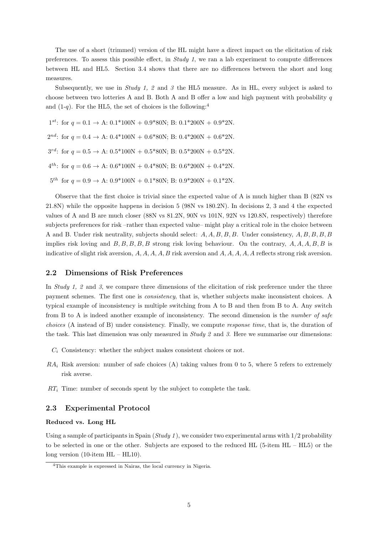The use of a short (trimmed) version of the HL might have a direct impact on the elicitation of risk preferences. To assess this possible effect, in Study 1, we ran a lab experiment to compute differences between HL and HL5. Section 3.4 shows that there are no differences between the short and long measures.

Subsequently, we use in  $Study\ 1, 2$  and 3 the HL5 measure. As in HL, every subject is asked to choose between two lotteries A and B. Both A and B offer a low and high payment with probability  $q$ and  $(1-q)$ . For the HL5, the set of choices is the following:<sup>4</sup>

 $1^{st}$ : for  $q = 0.1 \rightarrow A$ :  $0.1*100N + 0.9*80N$ ; B:  $0.1*200N + 0.9*2N$ .  $2^{nd}$ : for  $q = 0.4 \rightarrow A$ :  $0.4*100N + 0.6*80N$ ; B:  $0.4*200N + 0.6*2N$ .  $3^{rd}$ : for  $q = 0.5 \rightarrow A$ :  $0.5*100N + 0.5*80N$ ; B:  $0.5*200N + 0.5*2N$ .  $4^{th}$ : for  $q = 0.6 \rightarrow A$ :  $0.6*100N + 0.4*80N$ ; B:  $0.6*200N + 0.4*2N$ .  $5^{th}$  for  $q = 0.9 \rightarrow A: 0.9*100N + 0.1*80N; B: 0.9*200N + 0.1*2N.$ 

Observe that the first choice is trivial since the expected value of A is much higher than B (82N vs 21.8N) while the opposite happens in decision 5 (98N vs 180.2N). In decisions 2, 3 and 4 the expected values of A and B are much closer (88N vs 81.2N, 90N vs 101N, 92N vs 120.8N, respectively) therefore subjects preferences for risk –rather than expected value– might play a critical role in the choice between A and B. Under risk neutrality, subjects should select: A, A, B, B, B. Under consistency, A, B, B, B, B implies risk loving and  $B, B, B, B, B$  strong risk loving behaviour. On the contrary,  $A, A, A, B, B$  is indicative of slight risk aversion,  $A, A, A, A, B$  risk aversion and  $A, A, A, A, A$  reflects strong risk aversion.

#### 2.2 Dimensions of Risk Preferences

In Study 1, 2 and 3, we compare three dimensions of the elicitation of risk preference under the three payment schemes. The first one is consistency, that is, whether subjects make inconsistent choices. A typical example of inconsistency is multiple switching from A to B and then from B to A. Any switch from B to A is indeed another example of inconsistency. The second dimension is the number of safe choices (A instead of B) under consistency. Finally, we compute response time, that is, the duration of the task. This last dimension was only measured in  $Study 2$  and 3. Here we summarise our dimensions:

- $C_i$  Consistency: whether the subject makes consistent choices or not.
- $RA_i$  Risk aversion: number of safe choices (A) taking values from 0 to 5, where 5 refers to extremely risk averse.
- $RT_i$  Time: number of seconds spent by the subject to complete the task.

#### 2.3 Experimental Protocol

#### Reduced vs. Long HL

Using a sample of participants in Spain  $(Study 1)$ , we consider two experimental arms with  $1/2$  probability to be selected in one or the other. Subjects are exposed to the reduced HL (5-item HL – HL5) or the long version (10-item HL – HL10).

<sup>4</sup>This example is expressed in Nairas, the local currency in Nigeria.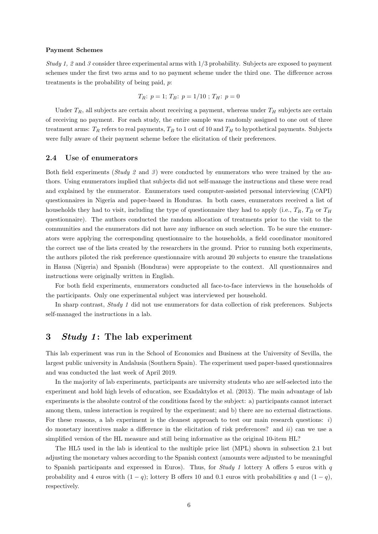#### Payment Schemes

Study 1, 2 and 3 consider three experimental arms with 1/3 probability. Subjects are exposed to payment schemes under the first two arms and to no payment scheme under the third one. The difference across treatments is the probability of being paid, p:

$$
T_R: p = 1; T_B: p = 1/10; T_H: p = 0
$$

Under  $T_R$ , all subjects are certain about receiving a payment, whereas under  $T_H$  subjects are certain of receiving no payment. For each study, the entire sample was randomly assigned to one out of three treatment arms:  $T_R$  refers to real payments,  $T_B$  to 1 out of 10 and  $T_H$  to hypothetical payments. Subjects were fully aware of their payment scheme before the elicitation of their preferences.

#### 2.4 Use of enumerators

Both field experiments (*Study 2* and 3) were conducted by enumerators who were trained by the authors. Using enumerators implied that subjects did not self-manage the instructions and these were read and explained by the enumerator. Enumerators used computer-assisted personal interviewing (CAPI) questionnaires in Nigeria and paper-based in Honduras. In both cases, enumerators received a list of households they had to visit, including the type of questionnaire they had to apply (i.e.,  $T_R$ ,  $T_B$  or  $T_H$ ) questionnaire). The authors conducted the random allocation of treatments prior to the visit to the communities and the enumerators did not have any influence on such selection. To be sure the enumerators were applying the corresponding questionnaire to the households, a field coordinator monitored the correct use of the lists created by the researchers in the ground. Prior to running both experiments, the authors piloted the risk preference questionnaire with around 20 subjects to ensure the translations in Hausa (Nigeria) and Spanish (Honduras) were appropriate to the context. All questionnaires and instructions were originally written in English.

For both field experiments, enumerators conducted all face-to-face interviews in the households of the participants. Only one experimental subject was interviewed per household.

In sharp contrast, Study 1 did not use enumerators for data collection of risk preferences. Subjects self-managed the instructions in a lab.

## 3 Study 1: The lab experiment

This lab experiment was run in the School of Economics and Business at the University of Sevilla, the largest public university in Andalusia (Southern Spain). The experiment used paper-based questionnaires and was conducted the last week of April 2019.

In the majority of lab experiments, participants are university students who are self-selected into the experiment and hold high levels of education, see Exadaktylos et al. (2013). The main advantage of lab experiments is the absolute control of the conditions faced by the subject: a) participants cannot interact among them, unless interaction is required by the experiment; and b) there are no external distractions. For these reasons, a lab experiment is the cleanest approach to test our main research questions: i) do monetary incentives make a difference in the elicitation of risk preferences? and  $ii)$  can we use a simplified version of the HL measure and still being informative as the original 10-item HL?

The HL5 used in the lab is identical to the multiple price list (MPL) shown in subsection 2.1 but adjusting the monetary values according to the Spanish context (amounts were adjusted to be meaningful to Spanish participants and expressed in Euros). Thus, for Study 1 lottery A offers 5 euros with  $q$ probability and 4 euros with  $(1 - q)$ ; lottery B offers 10 and 0.1 euros with probabilities q and  $(1 - q)$ , respectively.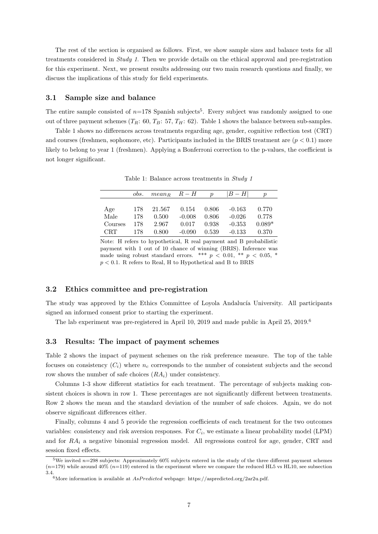The rest of the section is organised as follows. First, we show sample sizes and balance tests for all treatments considered in Study 1. Then we provide details on the ethical approval and pre-registration for this experiment. Next, we present results addressing our two main research questions and finally, we discuss the implications of this study for field experiments.

#### 3.1 Sample size and balance

The entire sample consisted of  $n=178$  Spanish subjects<sup>5</sup>. Every subject was randomly assigned to one out of three payment schemes  $(T_R: 60, T_B: 57, T_H: 62)$ . Table 1 shows the balance between sub-samples.

Table 1 shows no differences across treatments regarding age, gender, cognitive reflection test (CRT) and courses (freshmen, sophomore, etc). Participants included in the BRIS treatment are  $(p < 0.1)$  more likely to belong to year 1 (freshmen). Applying a Bonferroni correction to the p-values, the coefficient is not longer significant.

|            | obs. | $mean_R$ $R-H$ |          | $\boldsymbol{\eta}$ | $ B-H $  | $\boldsymbol{p}$ |
|------------|------|----------------|----------|---------------------|----------|------------------|
|            |      |                |          |                     |          |                  |
| Age        | 178  | 21.567         | 0.154    | 0.806               | $-0.163$ | 0.770            |
| Male       | 178  | 0.500          | $-0.008$ | 0.806               | $-0.026$ | 0.778            |
| Courses    | 178  | 2.967          | 0.017    | 0.938               | $-0.353$ | $0.089*$         |
| <b>CRT</b> | 178  | 0.800          | $-0.090$ | 0.539               | $-0.133$ | 0.370            |

Table 1: Balance across treatments in Study 1

Note: H refers to hypothetical, R real payment and B probabilistic payment with 1 out of 10 chance of winning (BRIS). Inference was made using robust standard errors. \*\*\*  $p < 0.01$ , \*\*  $p < 0.05$ , \*  $p < 0.1$ . R refers to Real, H to Hypothetical and B to BRIS

#### 3.2 Ethics committee and pre-registration

The study was approved by the Ethics Committee of Loyola Andalucía University. All participants signed an informed consent prior to starting the experiment.

The lab experiment was pre-registered in April 10, 2019 and made public in April 25, 2019.<sup>6</sup>

#### 3.3 Results: The impact of payment schemes

Table 2 shows the impact of payment schemes on the risk preference measure. The top of the table focuses on consistency  $(C_i)$  where  $n_c$  corresponds to the number of consistent subjects and the second row shows the number of safe choices  $(RA_i)$  under consistency.

Columns 1-3 show different statistics for each treatment. The percentage of subjects making consistent choices is shown in row 1. These percentages are not significantly different between treatments. Row 2 shows the mean and the standard deviation of the number of safe choices. Again, we do not observe significant differences either.

Finally, columns 4 and 5 provide the regression coefficients of each treatment for the two outcomes variables: consistency and risk aversion responses. For  $C_i$ , we estimate a linear probability model (LPM) and for  $RA_i$  a negative binomial regression model. All regressions control for age, gender, CRT and session fixed effects.

<sup>&</sup>lt;sup>5</sup>We invited  $n=298$  subjects: Approximately 60% subjects entered in the study of the three different payment schemes  $(n=179)$  while around  $40\%$   $(n=119)$  entered in the experiment where we compare the reduced HL5 vs HL10, see subsection 3.4.<br>
<sup>6</sup>More information is available at *AsPredicted* webpage: https://aspredicted.org/2ar2u.pdf.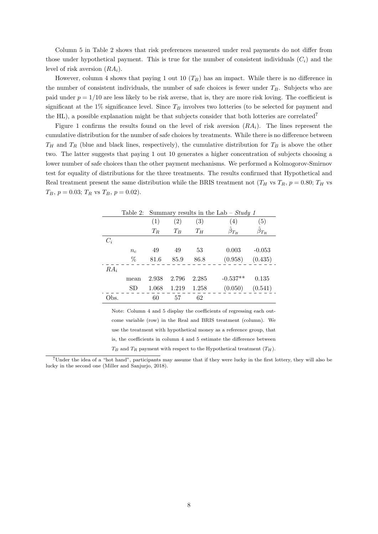Column 5 in Table 2 shows that risk preferences measured under real payments do not differ from those under hypothetical payment. This is true for the number of consistent individuals  $(C_i)$  and the level of risk aversion  $(RA_i)$ .

However, column 4 shows that paying 1 out 10  $(T_B)$  has an impact. While there is no difference in the number of consistent individuals, the number of safe choices is fewer under  $T_B$ . Subjects who are paid under  $p = 1/10$  are less likely to be risk averse, that is, they are more risk loving. The coefficient is significant at the 1% significance level. Since  $T_B$  involves two lotteries (to be selected for payment and the HL), a possible explanation might be that subjects consider that both lotteries are correlated<sup>7</sup>

Figure 1 confirms the results found on the level of risk aversion  $(RA_i)$ . The lines represent the cumulative distribution for the number of safe choices by treatments. While there is no difference between  $T_H$  and  $T_R$  (blue and black lines, respectively), the cumulative distribution for  $T_B$  is above the other two. The latter suggests that paying 1 out 10 generates a higher concentration of subjects choosing a lower number of safe choices than the other payment mechanisms. We performed a Kolmogorov-Smirnov test for equality of distributions for the three treatments. The results confirmed that Hypothetical and Real treatment present the same distribution while the BRIS treatment not  $(T_H \text{ vs } T_R, p = 0.80; T_H \text{ vs }$  $T_B$ ,  $p = 0.03$ ;  $T_R$  vs  $T_B$ ,  $p = 0.02$ ).

|        | Table 2: |       | Summary results in the Lab – Study 1 |       |                     |               |  |  |
|--------|----------|-------|--------------------------------------|-------|---------------------|---------------|--|--|
|        |          | (1)   | (2)                                  | (3)   | (4)                 | (5)           |  |  |
|        |          | $T_R$ | $T_B$                                | $T_H$ | $\hat{\beta}_{T_B}$ | $\beta_{T_R}$ |  |  |
| $C_i$  |          |       |                                      |       |                     |               |  |  |
|        | $n_{c}$  | 49    | 49                                   | 53    | 0.003               | $-0.053$      |  |  |
|        | %        | 81.6  | 85.9                                 | 86.8  | (0.958)             | (0.435)       |  |  |
| $RA_i$ |          |       |                                      |       |                     |               |  |  |
|        | mean     | 2.938 | 2.796                                | 2.285 | $-0.537**$          | 0.135         |  |  |
|        | SD       | 1.068 | 1.219                                | 1.258 | (0.050)             | (0.541)       |  |  |
| Эbs.   |          | 60    | 57                                   | 62    |                     |               |  |  |

Note: Column 4 and 5 display the coefficients of regressing each outcome variable (row) in the Real and BRIS treatment (column). We use the treatment with hypothetical money as a reference group, that is, the coefficients in column 4 and 5 estimate the difference between  $T_B$  and  $T_B$  payment with respect to the Hypothetical treatment  $(T_H)$ .

<sup>7</sup>Under the idea of a "hot hand", participants may assume that if they were lucky in the first lottery, they will also be lucky in the second one (Miller and Sanjurjo, 2018).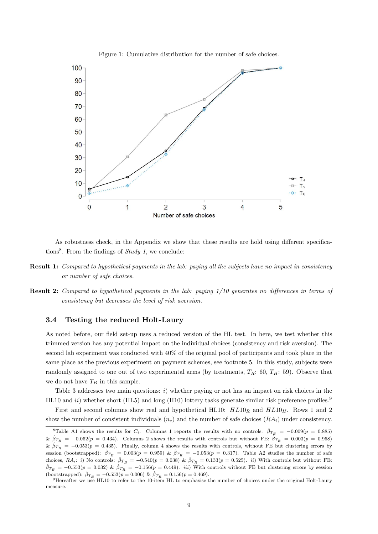

Figure 1: Cumulative distribution for the number of safe choices.

As robustness check, in the Appendix we show that these results are hold using different specifications<sup>8</sup>. From the findings of  $Study\ 1$ , we conclude:

- Result 1: Compared to hypothetical payments in the lab: paying all the subjects have no impact in consistency or number of safe choices.
- Result 2: Compared to hypothetical payments in the lab: paying 1/10 generates no differences in terms of consistency but decreases the level of risk aversion.

#### 3.4 Testing the reduced Holt-Laury

As noted before, our field set-up uses a reduced version of the HL test. In here, we test whether this trimmed version has any potential impact on the individual choices (consistency and risk aversion). The second lab experiment was conducted with 40% of the original pool of participants and took place in the same place as the previous experiment on payment schemes, see footnote 5. In this study, subjects were randomly assigned to one out of two experimental arms (by treatments,  $T_R$ : 60,  $T_H$ : 59). Observe that we do not have  $T_B$  in this sample.

Table 3 addresses two main questions:  $i)$  whether paying or not has an impact on risk choices in the HL10 and ii) whether short (HL5) and long (H10) lottery tasks generate similar risk preference profiles.<sup>9</sup>

First and second columns show real and hypothetical HL10:  $HL10_R$  and  $HL10_H$ . Rows 1 and 2 show the number of consistent individuals  $(n_c)$  and the number of safe choices  $(RA_i)$  under consistency.

<sup>&</sup>lt;sup>8</sup>Table A1 shows the results for  $C_i$ . Columns 1 reports the results with no controls:  $\hat{\beta}_{T_B} = -0.009(p = 0.885)$ &  $\hat{\beta}_{T_R}$  = -0.052(p = 0.434). Columns 2 shows the results with controls but without FE:  $\hat{\beta}_{T_B}$  = 0.003(p = 0.958)  $\&\hat{\beta}_{T_R}=-0.053(p=0.435)$ . Finally, column 4 shows the results with controls, without FE but clustering errors by session (bootstrapped):  $\hat{\beta}_{T_B} = 0.003(p = 0.959)$  &  $\hat{\beta}_{T_R} = -0.053(p = 0.317)$ . Table A2 studies the number of safe choices,  $RA_i$ : i) No controls:  $\hat{\beta}_{T_B} = -0.540(p = 0.038)$  &  $\hat{\beta}_{T_B} = 0.133(p = 0.525)$ . ii) With controls but without FE:  $\hat{\beta}_{T_B} = -0.553(p = 0.032) \& \hat{\beta}_{T_B} = -0.156(p = 0.449)$ . *iii*) With controls without FE but clustering errors by session (bootstrapped):  $\hat{\beta}_{T_B} = -0.553(p = 0.006) \& \hat{\beta}_{T_B} = 0.156(p = 0.469).$ 

<sup>9</sup>Hereafter we use HL10 to refer to the 10-item HL to emphasise the number of choices under the original Holt-Laury measure.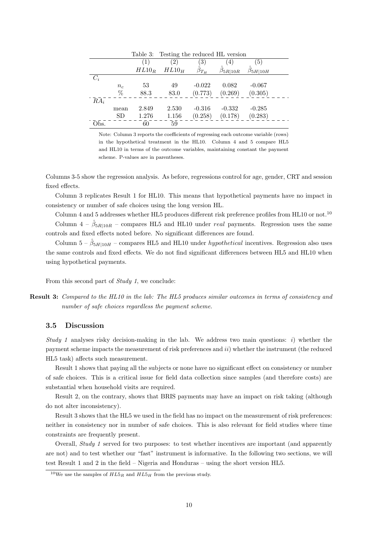|        |       |          | Table 3: Testing the reduced HL version |               |                        |                        |  |
|--------|-------|----------|-----------------------------------------|---------------|------------------------|------------------------|--|
|        |       | $\perp$  | $\left( 2\right)$                       | 3)            | $\pm$                  | [5]                    |  |
|        |       | $HL10_R$ | $HL10_H$                                | $\beta_{T_H}$ | $\hat{\beta}_{5R 10R}$ | $\hat{\beta}_{5H 10H}$ |  |
| $C_i$  |       |          |                                         |               |                        |                        |  |
|        | $n_c$ | 53       | 49                                      | $-0.022$      | 0.082                  | $-0.067$               |  |
|        | %     | 88.3     | 83.0                                    | (0.773)       | (0.269)                | (0.305)                |  |
| $RA_i$ |       |          |                                         |               |                        |                        |  |
|        | mean  | 2.849    | 2.530                                   | $-0.316$      | $-0.332$               | $-0.285$               |  |
|        | SD    | 1.276    | 1.156                                   | (0.258)       | (0.178)                | (0.283)                |  |
| Obs.   |       | 60       | 59                                      |               |                        |                        |  |

Note: Column 3 reports the coefficients of regressing each outcome variable (rows) in the hypothetical treatment in the HL10. Column 4 and 5 compare HL5 and HL10 in terms of the outcome variables, maintaining constant the payment scheme. P-values are in parentheses.

Columns 3-5 show the regression analysis. As before, regressions control for age, gender, CRT and session fixed effects.

Column 3 replicates Result 1 for HL10. This means that hypothetical payments have no impact in consistency or number of safe choices using the long version HL.

Column 4 and 5 addresses whether HL5 produces different risk preference profiles from HL10 or not.<sup>10</sup> Column  $4 - \hat{\beta}_{5R|10R}$  – compares HL5 and HL10 under real payments. Regression uses the same controls and fixed effects noted before. No significant differences are found.

Column  $5 - \hat{\beta}_{5H|10H}$  – compares HL5 and HL10 under *hypothetical* incentives. Regression also uses the same controls and fixed effects. We do not find significant differences between HL5 and HL10 when using hypothetical payments.

From this second part of Study 1, we conclude:

Result 3: Compared to the HL10 in the lab: The HL5 produces similar outcomes in terms of consistency and number of safe choices regardless the payment scheme.

#### 3.5 Discussion

Study 1 analyses risky decision-making in the lab. We address two main questions: i) whether the payment scheme impacts the measurement of risk preferences and ii) whether the instrument (the reduced HL5 task) affects such measurement.

Result 1 shows that paying all the subjects or none have no significant effect on consistency or number of safe choices. This is a critical issue for field data collection since samples (and therefore costs) are substantial when household visits are required.

Result 2, on the contrary, shows that BRIS payments may have an impact on risk taking (although do not alter inconsistency).

Result 3 shows that the HL5 we used in the field has no impact on the measurement of risk preferences: neither in consistency nor in number of safe choices. This is also relevant for field studies where time constraints are frequently present.

Overall, Study 1 served for two purposes: to test whether incentives are important (and apparently are not) and to test whether our "fast" instrument is informative. In the following two sections, we will test Result 1 and 2 in the field – Nigeria and Honduras – using the short version HL5.

<sup>&</sup>lt;sup>10</sup>We use the samples of  $HL5_R$  and  $HL5_H$  from the previous study.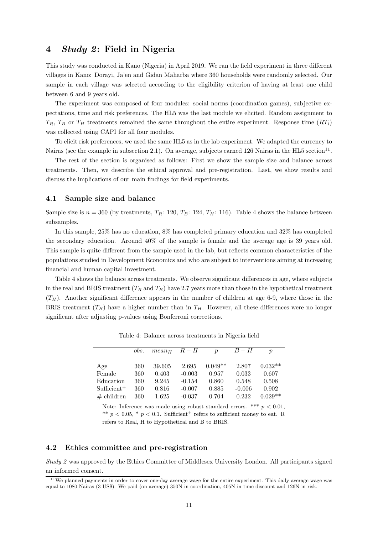## 4 Study 2: Field in Nigeria

This study was conducted in Kano (Nigeria) in April 2019. We ran the field experiment in three different villages in Kano: Dorayi, Ja'en and Gidan Maharba where 360 households were randomly selected. Our sample in each village was selected according to the eligibility criterion of having at least one child between 6 and 9 years old.

The experiment was composed of four modules: social norms (coordination games), subjective expectations, time and risk preferences. The HL5 was the last module we elicited. Random assignment to  $T_R$ ,  $T_B$  or  $T_H$  treatments remained the same throughout the entire experiment. Response time  $(RT_i)$ was collected using CAPI for all four modules.

To elicit risk preferences, we used the same HL5 as in the lab experiment. We adapted the currency to Nairas (see the example in subsection 2.1). On average, subjects earned 126 Nairas in the HL5 section<sup>11</sup>.

The rest of the section is organised as follows: First we show the sample size and balance across treatments. Then, we describe the ethical approval and pre-registration. Last, we show results and discuss the implications of our main findings for field experiments.

#### 4.1 Sample size and balance

Sample size is  $n = 360$  (by treatments,  $T_R$ : 120,  $T_B$ : 124,  $T_H$ : 116). Table 4 shows the balance between subsamples.

In this sample, 25% has no education, 8% has completed primary education and 32% has completed the secondary education. Around 40% of the sample is female and the average age is 39 years old. This sample is quite different from the sample used in the lab, but reflects common characteristics of the populations studied in Development Economics and who are subject to interventions aiming at increasing financial and human capital investment.

Table 4 shows the balance across treatments. We observe significant differences in age, where subjects in the real and BRIS treatment  $(T_R \text{ and } T_B)$  have 2.7 years more than those in the hypothetical treatment  $(T_H)$ . Another significant difference appears in the number of children at age 6-9, where those in the BRIS treatment  $(T_B)$  have a higher number than in  $T_H$ . However, all these differences were no longer significant after adjusting p-values using Bonferroni corrections.

|               | obs. | $mean_{H}$ | $R-H$    | $\boldsymbol{v}$ | $B-H$    | р         |
|---------------|------|------------|----------|------------------|----------|-----------|
|               |      |            |          |                  |          |           |
| Age           | 360  | 39.605     | 2.695    | $0.049**$        | 2.807    | $0.032**$ |
| Female        | 360  | 0.403      | $-0.003$ | 0.957            | 0.033    | 0.607     |
| Education     | 360  | 9.245      | $-0.154$ | 0.860            | 0.548    | 0.508     |
| $Sufficient+$ | 360  | 0.816      | $-0.007$ | 0.885            | $-0.006$ | 0.902     |
| $#$ children  | 360  | 1.625      | $-0.037$ | 0.704            | 0.232    | $0.029**$ |

Table 4: Balance across treatments in Nigeria field

Note: Inference was made using robust standard errors. \*\*\*  $p < 0.01$ , \*\*  $p < 0.05$ , \*  $p < 0.1$ . Sufficient refers to sufficient money to eat. R refers to Real, H to Hypothetical and B to BRIS.

#### 4.2 Ethics committee and pre-registration

Study 2 was approved by the Ethics Committee of Middlesex University London. All participants signed an informed consent.

 $11$ We planned payments in order to cover one-day average wage for the entire experiment. This daily average wage was equal to 1080 Nairas (3 US\$). We paid (on average) 350N in coordination, 405N in time discount and 126N in risk.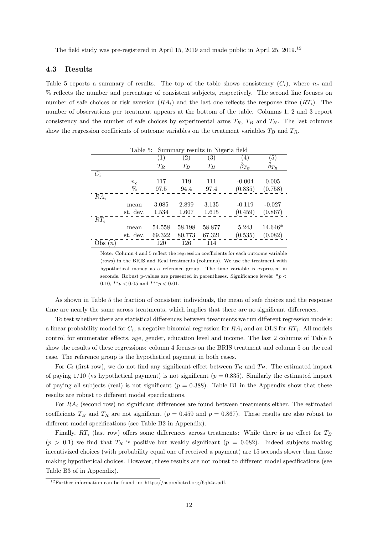The field study was pre-registered in April 15, 2019 and made public in April 25, 2019.<sup>12</sup>

#### 4.3 Results

Table 5 reports a summary of results. The top of the table shows consistency  $(C_i)$ , where  $n_c$  and % reflects the number and percentage of consistent subjects, respectively. The second line focuses on number of safe choices or risk aversion  $(RA_i)$  and the last one reflects the response time  $(RT_i)$ . The number of observations per treatment appears at the bottom of the table. Columns 1, 2 and 3 report consistency and the number of safe choices by experimental arms  $T_R$ ,  $T_B$  and  $T_H$ . The last columns show the regression coefficients of outcome variables on the treatment variables  $T_B$  and  $T_R$ .

|                   | Table 5: |        |                   | Summary results in Nigeria field |                     |                   |
|-------------------|----------|--------|-------------------|----------------------------------|---------------------|-------------------|
|                   |          | (1)    | $\left( 2\right)$ | $\left( 3\right)$                | 4)                  | $\left( 5\right)$ |
|                   |          | $T_R$  | $T_B$             | $T_H$                            | $\hat{\beta}_{T_B}$ | $\beta_{T_R}$     |
| $C_i$             |          |        |                   |                                  |                     |                   |
|                   | $n_{c}$  | 117    | 119               | 111                              | $-0.004$            | 0.005             |
|                   | %        | 97.5   | 94.4              | 97.4                             | (0.835)             | (0.758)           |
| $R\overline{A_i}$ |          |        |                   |                                  |                     |                   |
|                   | mean     | 3.085  | 2.899             | 3.135                            | $-0.119$            | $-0.027$          |
|                   | st. dev. | 1.534  | 1.607             | 1.615                            | (0.459)             | (0.867)           |
| $RT_i$            |          |        |                   |                                  |                     |                   |
|                   | mean     | 54.558 | 58.198            | 58.877                           | 5.243               | $14.646*$         |
|                   | st. dev. | 69.322 | 80.773            | 67.321                           | (0.535)             | (0.082)           |
| Obs $(n)$         |          | 120    | 126               | 114                              |                     |                   |

Note: Column 4 and 5 reflect the regression coefficients for each outcome variable (rows) in the BRIS and Real treatments (columns). We use the treatment with hypothetical money as a reference group. The time variable is expressed in seconds. Robust p-values are presented in parentheses. Significance levels:  $*_p$ 0.10, \*\* $p < 0.05$  and \*\*\* $p < 0.01$ .

As shown in Table 5 the fraction of consistent individuals, the mean of safe choices and the response time are nearly the same across treatments, which implies that there are no significant differences.

To test whether there are statistical differences between treatments we run different regression models: a linear probability model for  $C_i$ , a negative binomial regression for  $RA_i$  and an OLS for  $RT_i$ . All models control for enumerator effects, age, gender, education level and income. The last 2 columns of Table 5 show the results of these regressions: column 4 focuses on the BRIS treatment and column 5 on the real case. The reference group is the hypothetical payment in both cases.

For  $C_i$  (first row), we do not find any significant effect between  $T_B$  and  $T_H$ . The estimated impact of paying  $1/10$  (vs hypothetical payment) is not significant  $(p = 0.835)$ . Similarly the estimated impact of paying all subjects (real) is not significant ( $p = 0.388$ ). Table B1 in the Appendix show that these results are robust to different model specifications.

For  $RA_i$  (second row) no significant differences are found between treatments either. The estimated coefficients  $T_B$  and  $T_R$  are not significant ( $p = 0.459$  and  $p = 0.867$ ). These results are also robust to different model specifications (see Table B2 in Appendix).

Finally,  $RT_i$  (last row) offers some differences across treatments: While there is no effect for  $T_B$  $(p > 0.1)$  we find that  $T_R$  is positive but weakly significant  $(p = 0.082)$ . Indeed subjects making incentivized choices (with probability equal one of received a payment) are 15 seconds slower than those making hypothetical choices. However, these results are not robust to different model specifications (see Table B3 of in Appendix).

 $12$ Further information can be found in: https://aspredicted.org/6qh4a.pdf.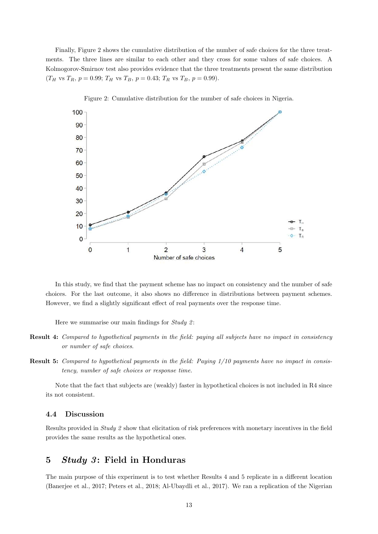Finally, Figure 2 shows the cumulative distribution of the number of safe choices for the three treatments. The three lines are similar to each other and they cross for some values of safe choices. A Kolmogorov-Smirnov test also provides evidence that the three treatments present the same distribution  $(T_H \text{ vs } T_R, p = 0.99; T_H \text{ vs } T_B, p = 0.43; T_R \text{ vs } T_B, p = 0.99).$ 



Figure 2: Cumulative distribution for the number of safe choices in Nigeria.

In this study, we find that the payment scheme has no impact on consistency and the number of safe choices. For the last outcome, it also shows no difference in distributions between payment schemes. However, we find a slightly significant effect of real payments over the response time.

Here we summarise our main findings for  $Study$  2:

- Result 4: Compared to hypothetical payments in the field: paying all subjects have no impact in consistency or number of safe choices.
- Result 5: Compared to hypothetical payments in the field: Paying 1/10 payments have no impact in consistency, number of safe choices or response time.

Note that the fact that subjects are (weakly) faster in hypothetical choices is not included in R4 since its not consistent.

#### 4.4 Discussion

Results provided in Study 2 show that elicitation of risk preferences with monetary incentives in the field provides the same results as the hypothetical ones.

## 5 Study 3: Field in Honduras

The main purpose of this experiment is to test whether Results 4 and 5 replicate in a different location (Banerjee et al., 2017; Peters et al., 2018; Al-Ubaydli et al., 2017). We ran a replication of the Nigerian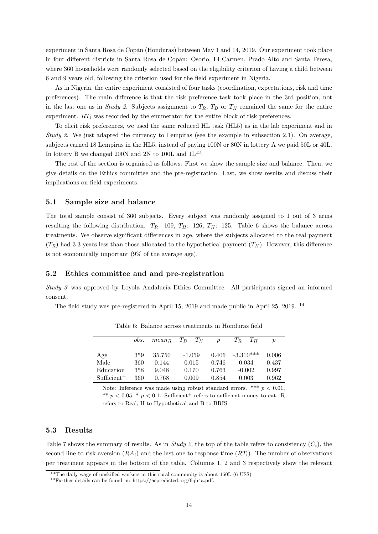experiment in Santa Rosa de Copán (Honduras) between May 1 and 14, 2019. Our experiment took place in four different districts in Santa Rosa de Copán: Osorio, El Carmen, Prado Alto and Santa Teresa, where 360 households were randomly selected based on the eligibility criterion of having a child between 6 and 9 years old, following the criterion used for the field experiment in Nigeria.

As in Nigeria, the entire experiment consisted of four tasks (coordination, expectations, risk and time preferences). The main difference is that the risk preference task took place in the 3rd position, not in the last one as in Study 2. Subjects assignment to  $T_R$ ,  $T_B$  or  $T_H$  remained the same for the entire experiment.  $RT_i$  was recorded by the enumerator for the entire block of risk preferences.

To elicit risk preferences, we used the same reduced HL task (HL5) as in the lab experiment and in Study 2. We just adapted the currency to Lempiras (see the example in subsection 2.1). On average, subjects earned 18 Lempiras in the HL5, instead of paying 100N or 80N in lottery A we paid 50L or 40L. In lottery B we changed 200N and 2N to 100L and  $1L^{13}$ .

The rest of the section is organised as follows: First we show the sample size and balance. Then, we give details on the Ethics committee and the pre-registration. Last, we show results and discuss their implications on field experiments.

#### 5.1 Sample size and balance

The total sample consist of 360 subjects. Every subject was randomly assigned to 1 out of 3 arms resulting the following distribution.  $T_R$ : 109,  $T_H$ : 126,  $T_H$ : 125. Table 6 shows the balance across treatments. We observe significant differences in age, where the subjects allocated to the real payment  $(T_R)$  had 3.3 years less than those allocated to the hypothetical payment  $(T_H)$ . However, this difference is not economically important (9% of the average age).

#### 5.2 Ethics committee and and pre-registration

Study  $3$  was approved by Loyola Andalucía Ethics Committee. All participants signed an informed consent.

The field study was pre-registered in April 15, 2019 and made public in April 25, 2019. <sup>14</sup>

|                       | obs. |        | $mean_B$ $T_B - T_H$ | $\boldsymbol{p}$ | $T_R-T_H$         | р     |
|-----------------------|------|--------|----------------------|------------------|-------------------|-------|
|                       |      |        |                      |                  |                   |       |
| Age                   | 359  | 35.750 | $-1.059$             |                  | $0.406 -3.310***$ | 0.006 |
| Male                  | 360  | 0.144  | 0.015                | 0.746            | 0.034             | 0.437 |
| Education             | 358  | 9.048  | 0.170                | 0.763            | $-0.002$          | 0.997 |
| $\text{Sufficient}^+$ | 360  | 0.768  | 0.009                | 0.854            | 0.003             | 0.962 |

Table 6: Balance across treatments in Honduras field

Note: Inference was made using robust standard errors. \*\*\*  $p < 0.01$ . \*\*  $p < 0.05$ , \*  $p < 0.1$ . Sufficient refers to sufficient money to eat. R refers to Real, H to Hypothetical and B to BRIS.

#### 5.3 Results

Table 7 shows the summary of results. As in Study 2, the top of the table refers to consistency  $(C_i)$ , the second line to risk aversion  $(RA_i)$  and the last one to response time  $(RT_i)$ . The number of observations per treatment appears in the bottom of the table. Columns 1, 2 and 3 respectively show the relevant

<sup>13</sup>The daily wage of unskilled workers in this rural community is about 150L (6 US\$)

<sup>14</sup>Further details can be found in: https://aspredicted.org/6qh4a.pdf.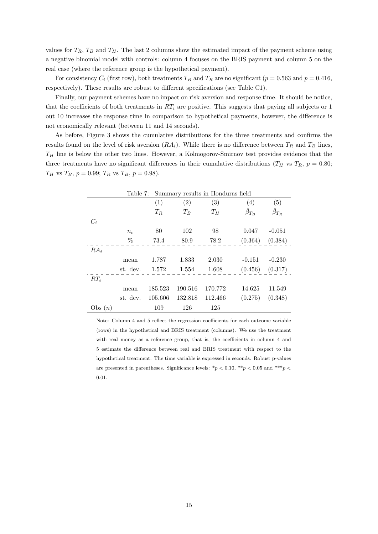values for  $T_R$ ,  $T_B$  and  $T_H$ . The last 2 columns show the estimated impact of the payment scheme using a negative binomial model with controls: column 4 focuses on the BRIS payment and column 5 on the real case (where the reference group is the hypothetical payment).

For consistency  $C_i$  (first row), both treatments  $T_B$  and  $T_R$  are no significant ( $p = 0.563$  and  $p = 0.416$ , respectively). These results are robust to different specifications (see Table C1).

Finally, our payment schemes have no impact on risk aversion and response time. It should be notice, that the coefficients of both treatments in  $RT_i$  are positive. This suggests that paying all subjects or 1 out 10 increases the response time in comparison to hypothetical payments, however, the difference is not economically relevant (between 11 and 14 seconds).

As before, Figure 3 shows the cumulative distributions for the three treatments and confirms the results found on the level of risk aversion  $(RA_i)$ . While there is no difference between  $T_R$  and  $T_B$  lines,  $T_H$  line is below the other two lines. However, a Kolmogorov-Smirnov test provides evidence that the three treatments have no significant differences in their cumulative distributions ( $T_H$  vs  $T_R$ ,  $p = 0.80$ ;  $T_H$  vs  $T_B$ ,  $p = 0.99$ ;  $T_R$  vs  $T_B$ ,  $p = 0.98$ ).

|           | Table 7: |         | Summary results in Honduras field |         |                     |                     |  |
|-----------|----------|---------|-----------------------------------|---------|---------------------|---------------------|--|
|           |          | (1)     | (2)                               | (3)     | (4)                 | (5)                 |  |
|           |          | $T_R$   | $T_B$                             | $T_H$   | $\hat{\beta}_{T_B}$ | $\hat{\beta}_{T_R}$ |  |
| $C_i$     |          |         |                                   |         |                     |                     |  |
|           | $n_c$    | 80      | 102                               | 98      | 0.047               | $-0.051$            |  |
|           | %        | 73.4    | 80.9                              | 78.2    | (0.364)             | (0.384)             |  |
| $RA_i$    |          |         |                                   |         |                     |                     |  |
|           | mean     | 1.787   | 1.833                             | 2.030   | $-0.151$            | $-0.230$            |  |
|           | st. dev. | 1.572   | 1.554                             | 1.608   | (0.456)             | (0.317)             |  |
| $RT_i$    |          |         |                                   |         |                     |                     |  |
|           | mean     | 185.523 | 190.516                           | 170.772 | 14.625              | 11.549              |  |
|           | st. dev. | 105.606 | 132.818                           | 112.466 | (0.275)             | (0.348)             |  |
| Obs $(n)$ |          | 109     | 126                               | 125     |                     |                     |  |

Note: Column 4 and 5 reflect the regression coefficients for each outcome variable (rows) in the hypothetical and BRIS treatment (columns). We use the treatment with real money as a reference group, that is, the coefficients in column 4 and 5 estimate the difference between real and BRIS treatment with respect to the hypothetical treatment. The time variable is expressed in seconds. Robust p-values are presented in parentheses. Significance levels:  $*p < 0.10$ ,  $**p < 0.05$  and  $***p <$ 0.01.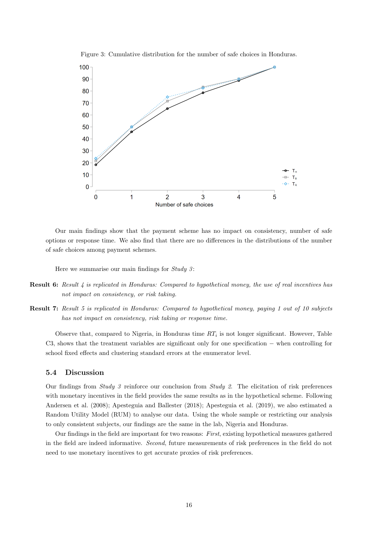

Figure 3: Cumulative distribution for the number of safe choices in Honduras.

Our main findings show that the payment scheme has no impact on consistency, number of safe options or response time. We also find that there are no differences in the distributions of the number of safe choices among payment schemes.

Here we summarise our main findings for  $Study 3$ :

- Result 6: Result 4 is replicated in Honduras: Compared to hypothetical money, the use of real incentives has not impact on consistency, or risk taking.
- Result 7: Result 5 is replicated in Honduras: Compared to hypothetical money, paying 1 out of 10 subjects has not impact on consistency, risk taking or response time.

Observe that, compared to Nigeria, in Honduras time  $RT_i$  is not longer significant. However, Table C3, shows that the treatment variables are significant only for one specification − when controlling for school fixed effects and clustering standard errors at the enumerator level.

#### 5.4 Discussion

Our findings from Study 3 reinforce our conclusion from Study 2. The elicitation of risk preferences with monetary incentives in the field provides the same results as in the hypothetical scheme. Following Andersen et al. (2008); Apesteguia and Ballester (2018); Apesteguia et al. (2019), we also estimated a Random Utility Model (RUM) to analyse our data. Using the whole sample or restricting our analysis to only consistent subjects, our findings are the same in the lab, Nigeria and Honduras.

Our findings in the field are important for two reasons: First, existing hypothetical measures gathered in the field are indeed informative. Second, future measurements of risk preferences in the field do not need to use monetary incentives to get accurate proxies of risk preferences.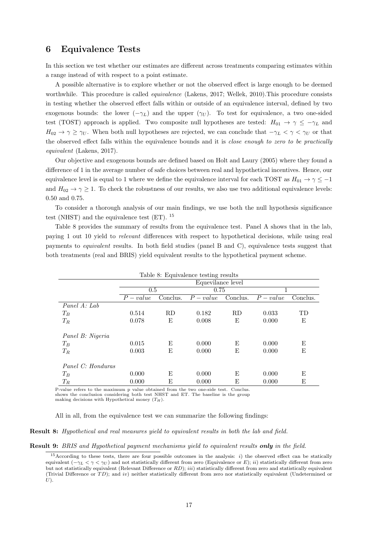## 6 Equivalence Tests

In this section we test whether our estimates are different across treatments comparing estimates within a range instead of with respect to a point estimate.

A possible alternative is to explore whether or not the observed effect is large enough to be deemed worthwhile. This procedure is called *equivalence* (Lakens, 2017; Wellek, 2010). This procedure consists in testing whether the observed effect falls within or outside of an equivalence interval, defined by two exogenous bounds: the lower  $(-\gamma_L)$  and the upper  $(\gamma_U)$ . To test for equivalence, a two one-sided test (TOST) approach is applied. Two composite null hypotheses are tested:  $H_{01} \rightarrow \gamma \leq -\gamma_L$  and  $H_{02} \to \gamma \geq \gamma_U$ . When both null hypotheses are rejected, we can conclude that  $-\gamma_L < \gamma < \gamma_U$  or that the observed effect falls within the equivalence bounds and it is close enough to zero to be practically equivalent (Lakens, 2017).

Our objective and exogenous bounds are defined based on Holt and Laury (2005) where they found a difference of 1 in the average number of safe choices between real and hypothetical incentives. Hence, our equivalence level is equal to 1 where we define the equivalence interval for each TOST as  $H_{01} \rightarrow \gamma \leq -1$ and  $H_{02} \rightarrow \gamma \geq 1$ . To check the robustness of our results, we also use two additional equivalence levels: 0.50 and 0.75.

To consider a thorough analysis of our main findings, we use both the null hypothesis significance test (NHST) and the equivalence test  $(ET)$ . <sup>15</sup>

Table 8 provides the summary of results from the equivalence test. Panel A shows that in the lab, paying 1 out 10 yield to relevant differences with respect to hypothetical decisions, while using real payments to equivalent results. In both field studies (panel B and C), equivalence tests suggest that both treatments (real and BRIS) yield equivalent results to the hypothetical payment scheme.

| Table 8: Equivalence testing results |           |          |                   |          |           |           |
|--------------------------------------|-----------|----------|-------------------|----------|-----------|-----------|
|                                      |           |          | Equevilance level |          |           |           |
|                                      | 0.5       |          | 0.75              |          | 1         |           |
|                                      | $P-value$ | Conclus. | $P-value$         | Conclus. | $P-value$ | Conclus.  |
| Panel $A: Lab$                       |           |          |                   |          |           |           |
| $T_B$                                | 0.514     | RD       | 0.182             | RD       | 0.033     | <b>TD</b> |
| $T_R$                                | 0.078     | E        | 0.008             | E        | 0.000     | Ε         |
| Panel B: Nigeria                     |           |          |                   |          |           |           |
| $T_B$                                | 0.015     | E        | 0.000             | E        | 0.000     | E         |
| $T_R$                                | 0.003     | E        | 0.000             | Ε        | 0.000     | E         |
| Panel C: Honduras                    |           |          |                   |          |           |           |
| $T_B$                                | 0.000     | E        | 0.000             | E        | 0.000     | E         |
| $T_R$                                | 0.000     | E        | 0.000             | Е        | 0.000     | E         |

P-value refers to the maximum p value obtained from the two one-side test. Conclus. shows the conclusion considering both test NHST and ET. The baseline is the group making decisions with Hypothetical money  $(T_H)$ .

All in all, from the equivalence test we can summarize the following findings:

Result 8: Hypothetical and real measures yield to equivalent results in both the lab and field.

Result 9: BRIS and Hypothetical payment mechanisms yield to equivalent results only in the field.

<sup>&</sup>lt;sup>15</sup>According to these tests, there are four possible outcomes in the analysis: i) the observed effect can be statically equivalent  $(-\gamma_L < \gamma < \gamma_U)$  and not statistically different from zero (Equivalence or E); ii) statistically different from zero but not statistically equivalent (Relevant Difference or RD); *iii*) statistically different from zero and statistically equivalent (Trivial Difference or  $TD$ ); and iv) neither statistically different from zero nor statistically equivalent (Undetermined or  $U$ ).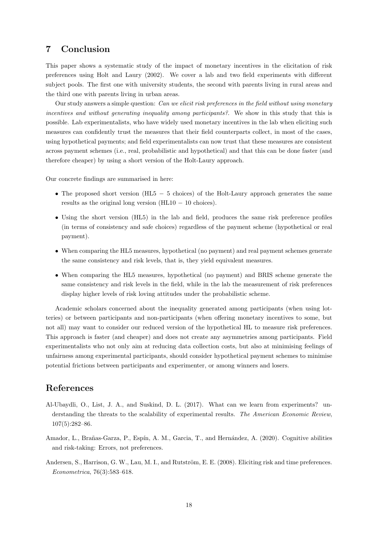## 7 Conclusion

This paper shows a systematic study of the impact of monetary incentives in the elicitation of risk preferences using Holt and Laury (2002). We cover a lab and two field experiments with different subject pools. The first one with university students, the second with parents living in rural areas and the third one with parents living in urban areas.

Our study answers a simple question: Can we elicit risk preferences in the field without using monetary incentives and without generating inequality among participants?. We show in this study that this is possible. Lab experimentalists, who have widely used monetary incentives in the lab when eliciting such measures can confidently trust the measures that their field counterparts collect, in most of the cases, using hypothetical payments; and field experimentalists can now trust that these measures are consistent across payment schemes (i.e., real, probabilistic and hypothetical) and that this can be done faster (and therefore cheaper) by using a short version of the Holt-Laury approach.

Our concrete findings are summarised in here:

- The proposed short version (HL5 − 5 choices) of the Holt-Laury approach generates the same results as the original long version  $(HL10 - 10)$  choices).
- Using the short version (HL5) in the lab and field, produces the same risk preference profiles (in terms of consistency and safe choices) regardless of the payment scheme (hypothetical or real payment).
- When comparing the HL5 measures, hypothetical (no payment) and real payment schemes generate the same consistency and risk levels, that is, they yield equivalent measures.
- When comparing the HL5 measures, hypothetical (no payment) and BRIS scheme generate the same consistency and risk levels in the field, while in the lab the measurement of risk preferences display higher levels of risk loving attitudes under the probabilistic scheme.

Academic scholars concerned about the inequality generated among participants (when using lotteries) or between participants and non-participants (when offering monetary incentives to some, but not all) may want to consider our reduced version of the hypothetical HL to measure risk preferences. This approach is faster (and cheaper) and does not create any asymmetries among participants. Field experimentalists who not only aim at reducing data collection costs, but also at minimising feelings of unfairness among experimental participants, should consider hypothetical payment schemes to minimise potential frictions between participants and experimenter, or among winners and losers.

## References

- Al-Ubaydli, O., List, J. A., and Suskind, D. L. (2017). What can we learn from experiments? understanding the threats to the scalability of experimental results. The American Economic Review, 107(5):282–86.
- Amador, L., Brañas-Garza, P., Espín, A. M., Garcia, T., and Hernández, A. (2020). Cognitive abilities and risk-taking: Errors, not preferences.
- Andersen, S., Harrison, G. W., Lau, M. I., and Rutström, E. E. (2008). Eliciting risk and time preferences. Econometrica, 76(3):583–618.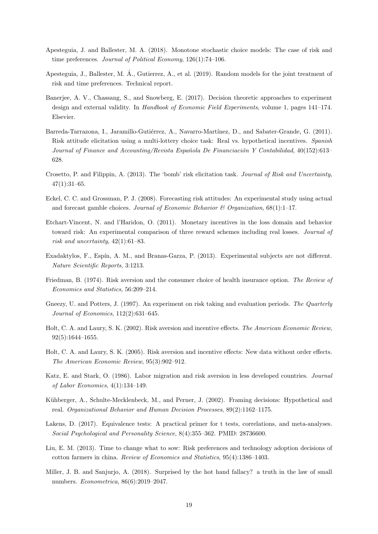- Apesteguia, J. and Ballester, M. A. (2018). Monotone stochastic choice models: The case of risk and time preferences. Journal of Political Economy, 126(1):74–106.
- Apesteguia, J., Ballester, M. A., Gutierrez, A., et al. (2019). Random models for the joint treatment of ´ risk and time preferences. Technical report.
- Banerjee, A. V., Chassang, S., and Snowberg, E. (2017). Decision theoretic approaches to experiment design and external validity. In Handbook of Economic Field Experiments, volume 1, pages 141–174. Elsevier.
- Barreda-Tarrazona, I., Jaramillo-Gutiérrez, A., Navarro-Martínez, D., and Sabater-Grande, G. (2011). Risk attitude elicitation using a multi-lottery choice task: Real vs. hypothetical incentives. Spanish Journal of Finance and Accounting/Revista Española De Financiación Y Contabilidad,  $40(152):613-$ 628.
- Crosetto, P. and Filippin, A. (2013). The 'bomb' risk elicitation task. Journal of Risk and Uncertainty,  $47(1):31-65.$
- Eckel, C. C. and Grossman, P. J. (2008). Forecasting risk attitudes: An experimental study using actual and forecast gamble choices. Journal of Economic Behavior  $\mathcal{B}$  Organization, 68(1):1–17.
- Etchart-Vincent, N. and l'Haridon, O. (2011). Monetary incentives in the loss domain and behavior toward risk: An experimental comparison of three reward schemes including real losses. Journal of risk and uncertainty, 42(1):61–83.
- Exadaktylos, F., Espín, A. M., and Branas-Garza, P. (2013). Experimental subjects are not different. Nature Scientific Reports, 3:1213.
- Friedman, B. (1974). Risk aversion and the consumer choice of health insurance option. The Review of Economics and Statistics, 56:209–214.
- Gneezy, U. and Potters, J. (1997). An experiment on risk taking and evaluation periods. The Quarterly Journal of Economics, 112(2):631–645.
- Holt, C. A. and Laury, S. K. (2002). Risk aversion and incentive effects. The American Economic Review, 92(5):1644–1655.
- Holt, C. A. and Laury, S. K. (2005). Risk aversion and incentive effects: New data without order effects. The American Economic Review, 95(3):902–912.
- Katz, E. and Stark, O. (1986). Labor migration and risk aversion in less developed countries. Journal of Labor Economics, 4(1):134–149.
- Kühberger, A., Schulte-Mecklenbeck, M., and Perner, J. (2002). Framing decisions: Hypothetical and real. Organizational Behavior and Human Decision Processes, 89(2):1162–1175.
- Lakens, D. (2017). Equivalence tests: A practical primer for t tests, correlations, and meta-analyses. Social Psychological and Personality Science, 8(4):355–362. PMID: 28736600.
- Liu, E. M. (2013). Time to change what to sow: Risk preferences and technology adoption decisions of cotton farmers in china. Review of Economics and Statistics, 95(4):1386–1403.
- Miller, J. B. and Sanjurjo, A. (2018). Surprised by the hot hand fallacy? a truth in the law of small numbers. Econometrica, 86(6):2019–2047.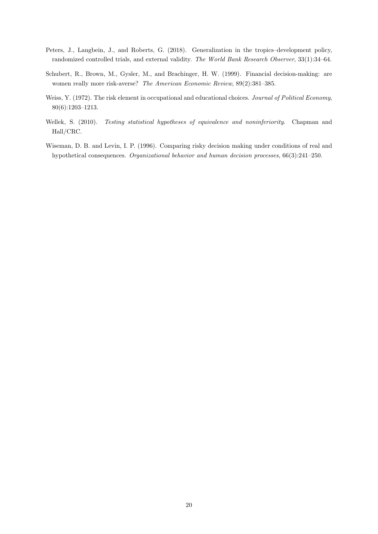- Peters, J., Langbein, J., and Roberts, G. (2018). Generalization in the tropics–development policy, randomized controlled trials, and external validity. The World Bank Research Observer, 33(1):34–64.
- Schubert, R., Brown, M., Gysler, M., and Brachinger, H. W. (1999). Financial decision-making: are women really more risk-averse? The American Economic Review, 89(2):381–385.
- Weiss, Y. (1972). The risk element in occupational and educational choices. Journal of Political Economy, 80(6):1203–1213.
- Wellek, S. (2010). Testing statistical hypotheses of equivalence and noninferiority. Chapman and Hall/CRC.
- Wiseman, D. B. and Levin, I. P. (1996). Comparing risky decision making under conditions of real and hypothetical consequences. Organizational behavior and human decision processes, 66(3):241–250.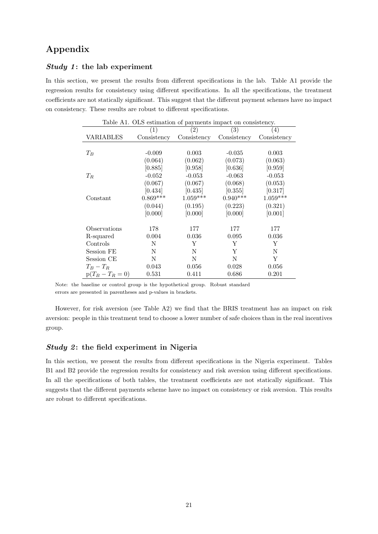## Appendix

#### Study 1: the lab experiment

In this section, we present the results from different specifications in the lab. Table A1 provide the regression results for consistency using different specifications. In all the specifications, the treatment coefficients are not statically significant. This suggest that the different payment schemes have no impact on consistency. These results are robust to different specifications.

| Table A1. OLS estimation of payments impact on consistency. |             |                   |                   |                  |  |  |
|-------------------------------------------------------------|-------------|-------------------|-------------------|------------------|--|--|
|                                                             | (1)         | $\left( 2\right)$ | $\left( 3\right)$ | $\left(4\right)$ |  |  |
| VARIABLES                                                   | Consistency | Consistency       | Consistency       | Consistency      |  |  |
|                                                             |             |                   |                   |                  |  |  |
| $T_B$                                                       | $-0.009$    | 0.003             | $-0.035$          | 0.003            |  |  |
|                                                             | (0.064)     | (0.062)           | (0.073)           | (0.063)          |  |  |
|                                                             | [0.885]     | [0.958]           | [0.636]           | [0.959]          |  |  |
| $T_R$                                                       | $-0.052$    | $-0.053$          | $-0.063$          | $-0.053$         |  |  |
|                                                             | (0.067)     | (0.067)           | (0.068)           | (0.053)          |  |  |
|                                                             | $[0.434]$   | [0.435]           | [0.355]           | [0.317]          |  |  |
| Constant                                                    | $0.869***$  | $1.059***$        | $0.940***$        | $1.059***$       |  |  |
|                                                             | (0.044)     | (0.195)           | (0.223)           | (0.321)          |  |  |
|                                                             | [0.000]     | [0.000]           | [0.000]           | [0.001]          |  |  |
|                                                             |             |                   |                   |                  |  |  |
| Observations                                                | 178         | 177               | 177               | 177              |  |  |
| R-squared                                                   | 0.004       | 0.036             | 0.095             | 0.036            |  |  |
| Controls                                                    | N           | Y                 | Y                 | Y                |  |  |
| Session FE                                                  | Ν           | N                 | Υ                 | Ν                |  |  |
| Session CE                                                  | N           | N                 | N                 | Y                |  |  |
| $T_B-T_B$                                                   | 0.043       | 0.056             | 0.028             | 0.056            |  |  |
| $p(T_B - T_R = 0)$                                          | 0.531       | 0.411             | 0.686             | 0.201            |  |  |

Note: the baseline or control group is the hypothetical group. Robust standard errors are presented in parentheses and p-values in brackets.

However, for risk aversion (see Table A2) we find that the BRIS treatment has an impact on risk aversion: people in this treatment tend to choose a lower number of safe choices than in the real incentives group.

### Study 2: the field experiment in Nigeria

In this section, we present the results from different specifications in the Nigeria experiment. Tables B1 and B2 provide the regression results for consistency and risk aversion using different specifications. In all the specifications of both tables, the treatment coefficients are not statically significant. This suggests that the different payments scheme have no impact on consistency or risk aversion. This results are robust to different specifications.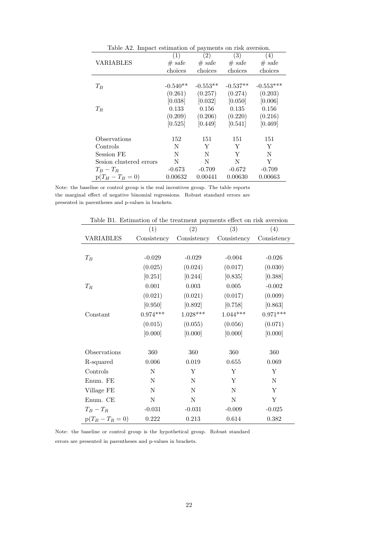| Table A2. Impact estimation of payments on risk aversion. |            |            |            |             |
|-----------------------------------------------------------|------------|------------|------------|-------------|
|                                                           | (1)        | (2)        | (3)        | (4)         |
| VARIABLES                                                 | $#$ safe   | $\#$ safe  | $\#$ safe  | $#$ safe    |
|                                                           | choices    | choices    | choices    | choices     |
|                                                           |            |            |            |             |
| $T_B$                                                     | $-0.540**$ | $-0.553**$ | $-0.537**$ | $-0.553***$ |
|                                                           | (0.261)    | (0.257)    | (0.274)    | (0.203)     |
|                                                           | [0.038]    | [0.032]    | [0.050]    | [0.006]     |
| $T_R$                                                     | 0.133      | 0.156      | 0.135      | 0.156       |
|                                                           | (0.209)    | (0.206)    | (0.220)    | (0.216)     |
|                                                           | [0.525]    | [0.449]    | [0.541]    | [0.469]     |
|                                                           |            |            |            |             |
| Observations                                              | 152        | 151        | 151        | 151         |
| Controls                                                  | N          | Y          | Y          | Y           |
| Session FE                                                | N          | N          | Y          | N           |
| Sesion clustered errors                                   | N          | N          | N          | Y           |
| $T_B-T_B$                                                 | $-0.673$   | $-0.709$   | $-0.672$   | $-0.709$    |
| $p(T_H - T_B = 0)$                                        | 0.00632    | 0.00441    | 0.00630    | 0.00663     |

Note: the baseline or control group is the real incentives group. The table reports the marginal effect of negative binomial regressions. Robust standard errors are presented in parentheses and p-values in brackets.

| Table B1. Estimation of the treatment payments effect on risk aversion |             |                 |             |             |  |  |
|------------------------------------------------------------------------|-------------|-----------------|-------------|-------------|--|--|
|                                                                        | (1)         | (2)             | (3)         | (4)         |  |  |
| <b>VARIABLES</b>                                                       | Consistency | Consistency     | Consistency | Consistency |  |  |
|                                                                        |             |                 |             |             |  |  |
| $T_B$                                                                  | $-0.029$    | $-0.029$        | $-0.004$    | $-0.026$    |  |  |
|                                                                        | (0.025)     | (0.024)         | (0.017)     | (0.030)     |  |  |
|                                                                        | [0.251]     | [0.244]         | [0.835]     | [0.388]     |  |  |
| $T_R$                                                                  | 0.001       | $\,0.003\,$     | $\,0.005\,$ | $-0.002$    |  |  |
|                                                                        | (0.021)     | (0.021)         | (0.017)     | (0.009)     |  |  |
|                                                                        | [0.950]     | [0.892]         | [0.758]     | [0.863]     |  |  |
| Constant                                                               | $0.974***$  | $1.028^{***}\,$ | $1.044***$  | $0.971***$  |  |  |
|                                                                        | (0.015)     | (0.055)         | (0.056)     | (0.071)     |  |  |
|                                                                        | [0.000]     | [0.000]         | [0.000]     | [0.000]     |  |  |
|                                                                        |             |                 |             |             |  |  |
| Observations                                                           | 360         | 360             | 360         | 360         |  |  |
| R-squared                                                              | 0.006       | 0.019           | 0.655       | 0.069       |  |  |
| Controls                                                               | N           | Y               | Y           | Y           |  |  |
| Enum. FE                                                               | $\mathbf N$ | N               | Y           | $\mathbf N$ |  |  |
| Village FE                                                             | $\mathbf N$ | N               | $\mathbf N$ | Y           |  |  |
| Enum. CE                                                               | $\mathbf N$ | N               | $\mathbf N$ | Y           |  |  |
| $T_B-T_R$                                                              | $-0.031$    | $-0.031$        | $-0.009$    | $-0.025$    |  |  |
| $p(T_B - T_R = 0)$                                                     | 0.222       | 0.213           | 0.614       | 0.382       |  |  |

Table B1. Estimation of the treatment payments effect on risk

Note: the baseline or control group is the hypothetical group. Robust standard errors are presented in parentheses and p-values in brackets.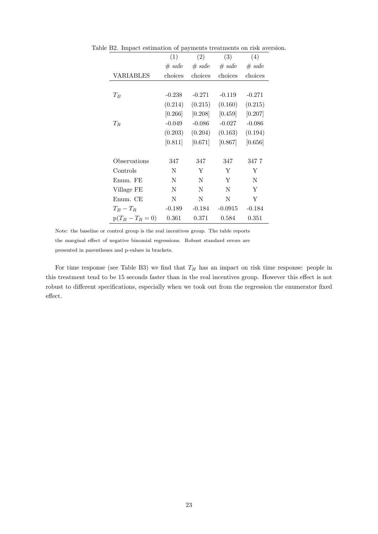|                    | (1)      | (2)      | (3)       | (4)      |
|--------------------|----------|----------|-----------|----------|
|                    | $#$ safe | $#$ safe | $#$ safe  | $#$ safe |
| VARIABLES          | choices  | choices  | choices   | choices  |
|                    |          |          |           |          |
| $T_B$              | $-0.238$ | $-0.271$ | $-0.119$  | $-0.271$ |
|                    | (0.214)  | (0.215)  | (0.160)   | (0.215)  |
|                    | [0.266]  | [0.208]  | [0.459]   | [0.207]  |
| $T_R$              | $-0.049$ | $-0.086$ | $-0.027$  | $-0.086$ |
|                    | (0.203)  | (0.204)  | (0.163)   | (0.194)  |
|                    | [0.811]  | [0.671]  | [0.867]   | [0.656]  |
|                    |          |          |           |          |
| Observations       | 347      | 347      | 347       | 347 7    |
| Controls           | N        | Y        | Y         | Y        |
| Enum. FE           | N        | N        | Y         | N        |
| Village FE         | N        | N        | N         | Y        |
| Enum. CE           | N        | N        | N         | Y        |
| $T_B-T_R$          | $-0.189$ | $-0.184$ | $-0.0915$ | $-0.184$ |
| $p(T_B - T_R = 0)$ | 0.361    | 0.371    | 0.584     | 0.351    |

Table B2. Impact estimation of payments treatments on risk aversion.

Note: the baseline or control group is the real incentives group. The table reports the marginal effect of negative binomial regressions. Robust standard errors are presented in parentheses and p-values in brackets.

For time response (see Table B3) we find that  $T_H$  has an impact on risk time response: people in this treatment tend to be 15 seconds faster than in the real incentives group. However this effect is not robust to different specifications, especially when we took out from the regression the enumerator fixed effect.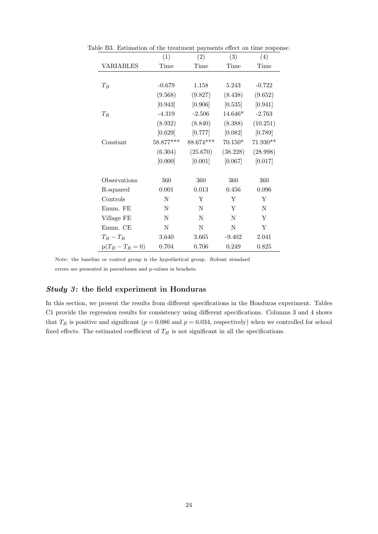|                    | (1)       | $\left( 2\right)$ | (3)         | (4)        |
|--------------------|-----------|-------------------|-------------|------------|
| <b>VARIABLES</b>   | Time      | Time              | Time        | Time       |
|                    |           |                   |             |            |
| $T_B$              | $-0.679$  | 1.158             | 5.243       | $-0.722$   |
|                    | (9.568)   | (9.827)           | (8.438)     | (9.652)    |
|                    | [0.943]   | [0.906]           | [0.535]     | [0.941]    |
| $T_R$              | $-4.319$  | $-2.506$          | $14.646*$   | $-2.763$   |
|                    | (8.932)   | (8.840)           | (8.388)     | (10.251)   |
|                    | [0.629]   | [0.777]           | $[0.082]$   | [0.789]    |
| Constant           | 58.877*** | $88.674***$       | $70.150*$   | $71.930**$ |
|                    | (6.304)   | (25.670)          | (38.228)    | (28.998)   |
|                    | [0.000]   | [0.001]           | [0.067]     | [0.017]    |
|                    |           |                   |             |            |
| Observations       | 360       | 360               | 360         | 360        |
| R-squared          | 0.001     | 0.013             | 0.456       | 0.096      |
| Controls           | Ν         | Υ                 | Y           | Y          |
| Enum. FE           | Ν         | N                 | Y           | N          |
| Village FE         | N         | N                 | N           | Y          |
| Enum. CE           | $\rm N$   | $\mathbf N$       | $\mathbf N$ | Υ          |
| $T_B-T_R$          | 3.640     | 3.665             | $-9.402$    | 2.041      |
| $p(T_B - T_R = 0)$ | 0.704     | 0.706             | 0.249       | 0.825      |

Table B3. Estimation of the treatment payments effect on time response.

Note: the baseline or control group is the hypothetical group. Robust standard

errors are presented in parentheses and p-values in brackets.

### Study 3: the field experiment in Honduras

In this section, we present the results from different specifications in the Honduras experiment. Tables C1 provide the regression results for consistency using different specifications. Columns 3 and 4 shows that  $T_B$  is positive and significant ( $p = 0.086$  and  $p = 0.034$ , respectively) when we controlled for school fixed effects. The estimated coefficient of  $T_H$  is not significant in all the specifications.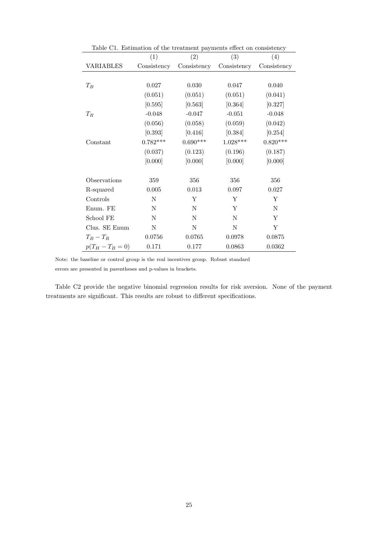| Table C1. Estimation of the treatment payments effect on consistency |             |             |             |             |
|----------------------------------------------------------------------|-------------|-------------|-------------|-------------|
|                                                                      | (1)         | (2)         | (3)         | (4)         |
| VARIABLES                                                            | Consistency | Consistency | Consistency | Consistency |
|                                                                      |             |             |             |             |
| $T_B$                                                                | 0.027       | 0.030       | 0.047       | 0.040       |
|                                                                      | (0.051)     | (0.051)     | (0.051)     | (0.041)     |
|                                                                      | [0.595]     | [0.563]     | [0.364]     | [0.327]     |
| $T_R$                                                                | $-0.048$    | $-0.047$    | $-0.051$    | $-0.048$    |
|                                                                      | (0.056)     | (0.058)     | (0.059)     | (0.042)     |
|                                                                      | [0.393]     | [0.416]     | [0.384]     | [0.254]     |
| Constant                                                             | $0.782***$  | $0.690***$  | $1.028***$  | $0.820***$  |
|                                                                      | (0.037)     | (0.123)     | (0.196)     | (0.187)     |
|                                                                      | [0.000]     | [0.000]     | [0.000]     | [0.000]     |
| Observations                                                         | 359         | 356         | 356         | 356         |
| R-squared                                                            | $0.005\,$   | $\,0.013\,$ | 0.097       | 0.027       |
| Controls                                                             | N           | Υ           | Y           | Y           |
| Enum. FE                                                             | N           | N           | Y           | N           |
| School FE                                                            | N           | N           | N           | Y           |
| Clus. SE Enum                                                        | N           | N           | N           | Y           |
| $T_B-T_R$                                                            | 0.0756      | 0.0765      | 0.0978      | 0.0875      |
| $p(T_H - T_B = 0)$                                                   | 0.171       | 0.177       | 0.0863      | 0.0362      |

Note: the baseline or control group is the real incentives group. Robust standard

errors are presented in parentheses and p-values in brackets.

Table C2 provide the negative binomial regression results for risk aversion. None of the payment treatments are significant. This results are robust to different specifications.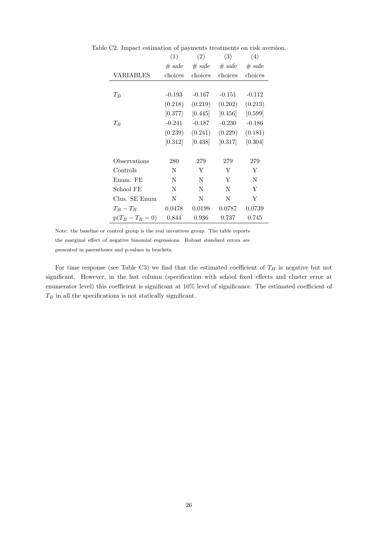|                    | (1)      | (2)      | (3)      | (4)      |
|--------------------|----------|----------|----------|----------|
|                    | $#$ safe | $#$ safe | $#$ safe | $#$ safe |
| VARIABLES          | choices  | choices  | choices  | choices  |
|                    |          |          |          |          |
| $T_B$              | $-0.193$ | $-0.167$ | $-0.151$ | $-0.112$ |
|                    | (0.218)  | (0.219)  | (0.202)  | (0.213)  |
|                    | [0.377]  | [0.445]  | [0.456]  | [0.599]  |
| $T_R$              | $-0.241$ | $-0.187$ | $-0.230$ | $-0.186$ |
|                    | (0.239)  | (0.241)  | (0.229)  | (0.181)  |
|                    | [0.312]  | [0.438]  | [0.317]  | [0.304]  |
|                    |          |          |          |          |
| Observations       | 280      | 279      | 279      | 279      |
| Controls           | N        | Υ        | Y        | Y        |
| Enum. FE           | N        | N        | Υ        | N        |
| School FE          | N        | N        | N        | Y        |
| Clus. SE Enum      | N        | N        | N        | Y        |
| $T_B-T_B$          | 0.0478   | 0.0199   | 0.0787   | 0.0739   |
| $p(T_B - T_R = 0)$ | 0.844    | 0.936    | 0.737    | 0.745    |

Table C2. Impact estimation of payments treatments on risk aversion.

Note: the baseline or control group is the real incentives group. The table reports the marginal effect of negative binomial regressions. Robust standard errors are presented in parentheses and p-values in brackets.

For time response (see Table C3) we find that the estimated coefficient of  $T_H$  is negative but not significant. However, in the last column (specification with school fixed effects and cluster error at enumerator level) this coefficient is significant at 10% level of significance. The estimated coefficient of  $T_B$  in all the specifications is not statically significant.